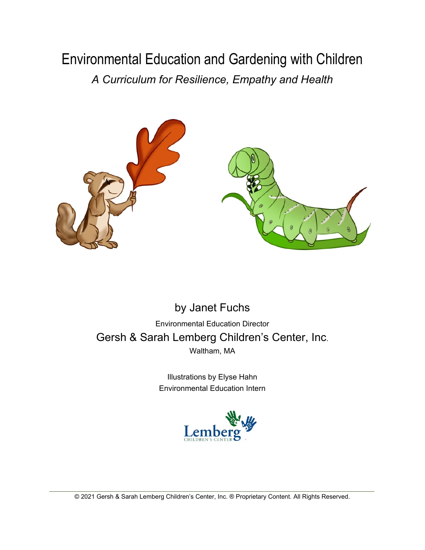## Environmental Education and Gardening with Children *A Curriculum for Resilience, Empathy and Health*



## by Janet Fuchs Environmental Education Director Gersh & Sarah Lemberg Children's Center, Inc. Waltham, MA

Illustrations by Elyse Hahn Environmental Education Intern

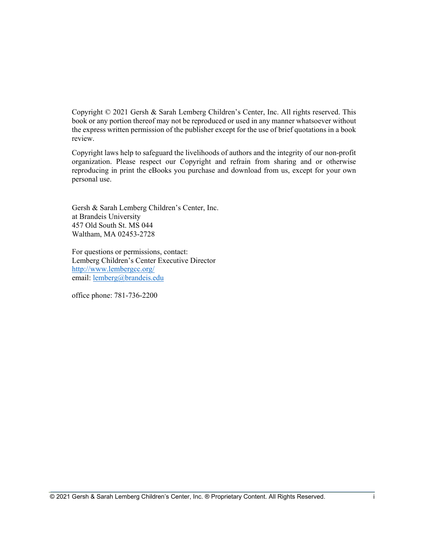Copyright © 2021 Gersh & Sarah Lemberg Children's Center, Inc. All rights reserved. This book or any portion thereof may not be reproduced or used in any manner whatsoever without the express written permission of the publisher except for the use of brief quotations in a book review.

Copyright laws help to safeguard the livelihoods of authors and the integrity of our non-profit organization. Please respect our Copyright and refrain from sharing and or otherwise reproducing in print the eBooks you purchase and download from us, except for your own personal use.

Gersh & Sarah Lemberg Children's Center, Inc. at Brandeis University 457 Old South St. MS 044 Waltham, MA 02453-2728

For questions or permissions, contact: Lemberg Children's Center Executive Director <http://www.lembergcc.org/> email: [lemberg@brandeis.edu](mailto:lemberg@brandeis.edu)

office phone: 781-736-2200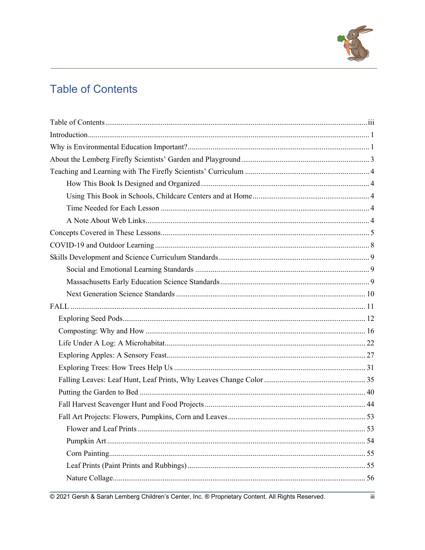

## <span id="page-2-0"></span>**Table of Contents**

@ 2021 Gersh & Sarah Lemberg Children's Center, Inc. ® Proprietary Content. All Rights Reserved.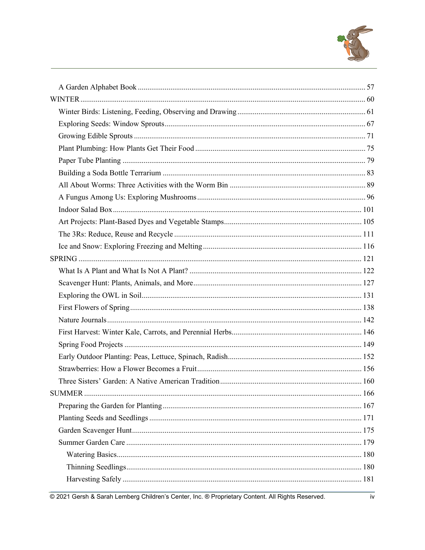

@ 2021 Gersh & Sarah Lemberg Children's Center, Inc. @ Proprietary Content. All Rights Reserved.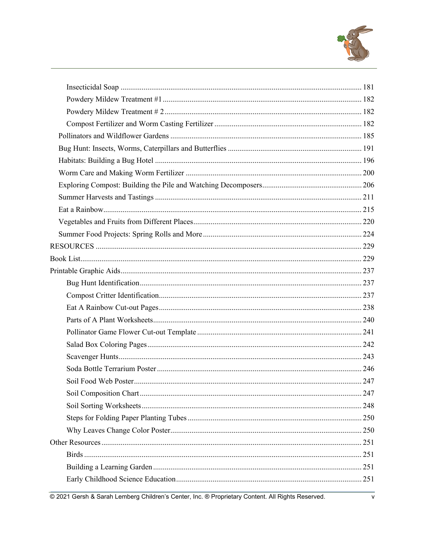

@ 2021 Gersh & Sarah Lemberg Children's Center, Inc. @ Proprietary Content. All Rights Reserved.